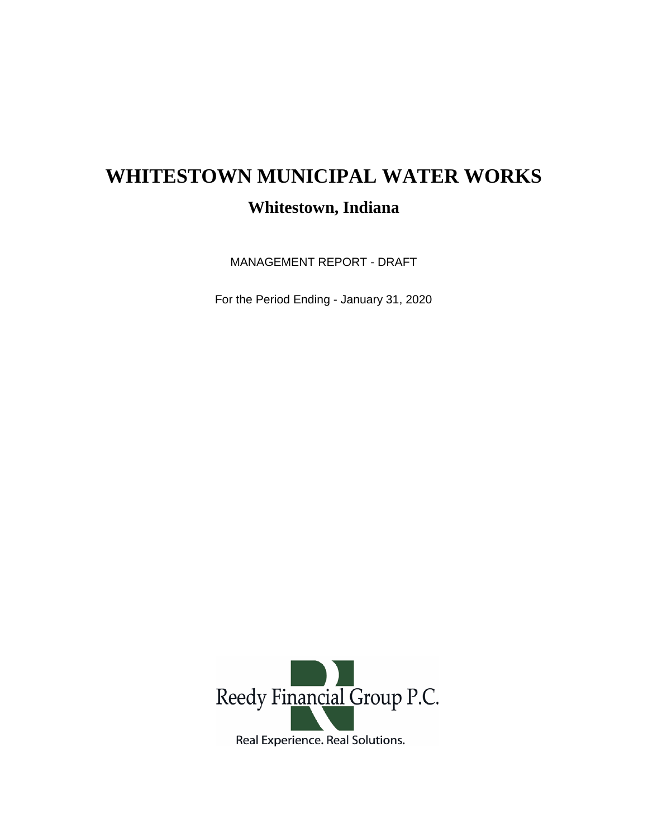## **WHITESTOWN MUNICIPAL WATER WORKS Whitestown, Indiana**

MANAGEMENT REPORT - DRAFT

For the Period Ending - January 31, 2020

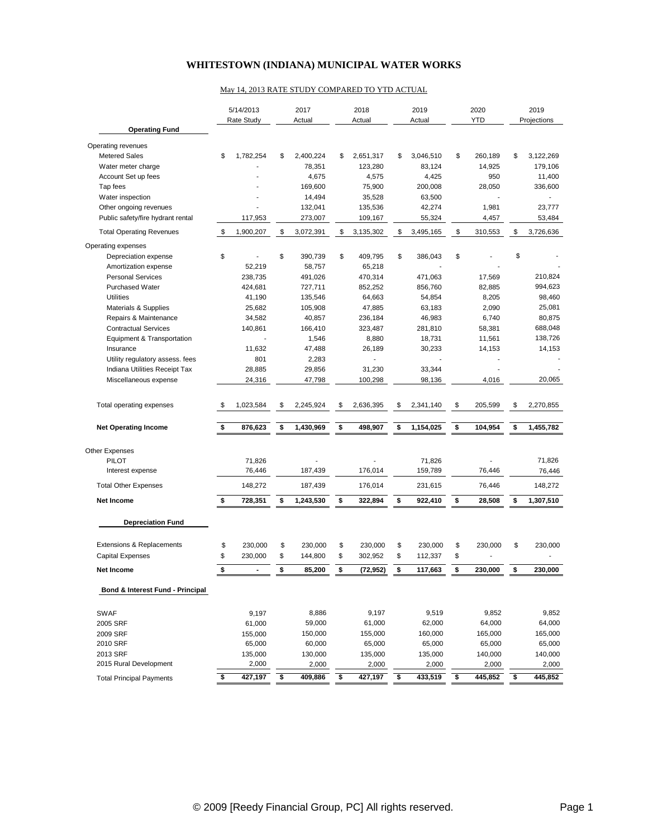## **WHITESTOWN (INDIANA) MUNICIPAL WATER WORKS**

## May 14, 2013 RATE STUDY COMPARED TO YTD ACTUAL

|                                       |    | 5/14/2013<br>Rate Study |                      | 2017<br>Actual |    | 2018<br>Actual |    | 2019<br>Actual    |    | 2020<br><b>YTD</b> |    | 2019<br>Projections |  |
|---------------------------------------|----|-------------------------|----------------------|----------------|----|----------------|----|-------------------|----|--------------------|----|---------------------|--|
| <b>Operating Fund</b>                 |    |                         |                      |                |    |                |    |                   |    |                    |    |                     |  |
| Operating revenues                    |    |                         |                      |                |    |                |    |                   |    |                    |    |                     |  |
| <b>Metered Sales</b>                  | \$ | 1,782,254               | \$                   | 2,400,224      | \$ | 2,651,317      | \$ | 3,046,510         | \$ | 260,189            | \$ | 3,122,269           |  |
| Water meter charge                    |    |                         |                      | 78,351         |    | 123,280        |    | 83,124            |    | 14,925             |    | 179,106             |  |
| Account Set up fees                   |    |                         |                      | 4,675          |    | 4,575          |    | 4,425             |    | 950                |    | 11,400              |  |
| Tap fees                              |    |                         |                      | 169,600        |    | 75,900         |    | 200,008           |    | 28,050             |    | 336,600             |  |
| Water inspection                      |    |                         |                      | 14,494         |    | 35,528         |    | 63,500            |    |                    |    |                     |  |
| Other ongoing revenues                |    |                         |                      | 132,041        |    | 135,536        |    | 42,274            |    | 1,981              |    | 23,777              |  |
| Public safety/fire hydrant rental     |    | 117,953                 |                      | 273,007        |    | 109,167        |    | 55,324            |    | 4,457              |    | 53,484              |  |
| <b>Total Operating Revenues</b>       | \$ | 1,900,207               | \$                   | 3,072,391      | \$ | 3,135,302      | \$ | 3,495,165         | \$ | 310,553            | \$ | 3,726,636           |  |
| Operating expenses                    |    |                         |                      |                |    |                |    |                   |    |                    |    |                     |  |
| Depreciation expense                  | \$ |                         | \$                   | 390,739        | \$ | 409,795        | \$ | 386,043           | \$ |                    | \$ |                     |  |
| Amortization expense                  |    | 52,219                  |                      | 58,757         |    | 65,218         |    |                   |    |                    |    |                     |  |
| <b>Personal Services</b>              |    | 238,735                 |                      | 491,026        |    | 470,314        |    | 471,063           |    | 17,569             |    | 210,824             |  |
| <b>Purchased Water</b>                |    | 424,681                 |                      | 727,711        |    | 852,252        |    | 856,760           |    | 82,885             |    | 994,623             |  |
| <b>Utilities</b>                      |    | 41,190                  |                      | 135,546        |    | 64,663         |    | 54,854            |    | 8,205              |    | 98,460              |  |
| Materials & Supplies                  |    | 25,682                  |                      | 105,908        |    | 47,885         |    | 63,183            |    | 2,090              |    | 25,081              |  |
| Repairs & Maintenance                 |    | 34,582                  |                      | 40,857         |    | 236,184        |    | 46,983            |    | 6,740              |    | 80,875              |  |
| <b>Contractual Services</b>           |    | 140,861                 |                      | 166,410        |    | 323,487        |    | 281,810           |    | 58,381             |    | 688,048             |  |
| Equipment & Transportation            |    |                         |                      | 1,546          |    | 8,880          |    | 18,731            |    | 11,561             |    | 138,726             |  |
| Insurance                             |    | 11,632                  |                      | 47,488         |    | 26,189         |    | 30,233            |    | 14,153             |    | 14,153              |  |
| Utility regulatory assess. fees       |    | 801                     |                      | 2,283          |    |                |    |                   |    |                    |    |                     |  |
| Indiana Utilities Receipt Tax         |    | 28,885                  |                      | 29,856         |    | 31,230         |    | 33,344            |    |                    |    |                     |  |
| Miscellaneous expense                 |    | 24,316                  |                      | 47,798         |    | 100,298        |    | 98,136            |    | 4,016              |    | 20,065              |  |
| Total operating expenses              | \$ | 1,023,584               | \$                   | 2,245,924      | \$ | 2,636,395      | \$ | 2,341,140         | \$ | 205,599            | \$ | 2,270,855           |  |
| <b>Net Operating Income</b>           | \$ | 876,623                 | \$                   | 1,430,969      | \$ | 498,907        | \$ | 1,154,025         | \$ | 104,954            | \$ | 1,455,782           |  |
|                                       |    |                         |                      |                |    |                |    |                   |    |                    |    |                     |  |
| <b>Other Expenses</b><br><b>PILOT</b> |    |                         |                      |                |    |                |    |                   |    |                    |    | 71,826              |  |
| Interest expense                      |    | 71,826<br>76,446        |                      | 187,439        |    | 176,014        |    | 71,826<br>159,789 |    | 76,446             |    | 76,446              |  |
| <b>Total Other Expenses</b>           |    | 148,272                 |                      |                |    | 176,014        |    | 231,615           |    |                    |    | 148,272             |  |
|                                       |    |                         |                      | 187,439        |    |                |    |                   |    | 76,446             |    |                     |  |
| <b>Net Income</b>                     | \$ | 728,351                 | \$                   | 1,243,530      | \$ | 322,894        | \$ | 922,410           | \$ | 28,508             | \$ | 1,307,510           |  |
| <b>Depreciation Fund</b>              |    |                         |                      |                |    |                |    |                   |    |                    |    |                     |  |
| Extensions & Replacements             | \$ | 230,000                 | \$                   | 230,000        | \$ | 230,000        | \$ | 230,000           | \$ | 230,000            | \$ | 230,000             |  |
| <b>Capital Expenses</b>               | \$ | 230,000                 | \$                   | 144,800        | \$ | 302,952        | \$ | 112,337           | \$ |                    |    |                     |  |
| <b>Net Income</b>                     | \$ | $\blacksquare$          | \$                   | 85,200         | \$ | (72, 952)      | \$ | 117,663           | \$ | 230,000            | \$ | 230,000             |  |
| Bond & Interest Fund - Principal      |    |                         |                      |                |    |                |    |                   |    |                    |    |                     |  |
|                                       |    |                         |                      |                |    |                |    |                   |    |                    |    |                     |  |
| <b>SWAF</b>                           |    | 9,197                   |                      | 8,886          |    | 9,197          |    | 9,519             |    | 9,852              |    | 9,852               |  |
| 2005 SRF                              |    | 61,000                  |                      | 59,000         |    | 61,000         |    | 62,000            |    | 64,000             |    | 64,000              |  |
| 2009 SRF                              |    | 155,000                 |                      | 150,000        |    | 155,000        |    | 160,000           |    | 165,000            |    | 165,000             |  |
| 2010 SRF                              |    | 65,000                  |                      | 60,000         |    | 65,000         |    | 65,000            |    | 65,000             |    | 65,000              |  |
| 2013 SRF                              |    | 135,000                 |                      | 130,000        |    | 135,000        |    | 135,000           |    | 140,000            |    | 140,000             |  |
| 2015 Rural Development                |    | 2,000                   |                      | 2,000          |    | 2,000          |    | 2,000             |    | 2,000              |    | 2,000               |  |
| <b>Total Principal Payments</b>       | \$ | 427,197                 | $\overline{\bullet}$ | 409,886        | \$ | 427,197        | \$ | 433,519           | \$ | 445,852            | \$ | 445,852             |  |